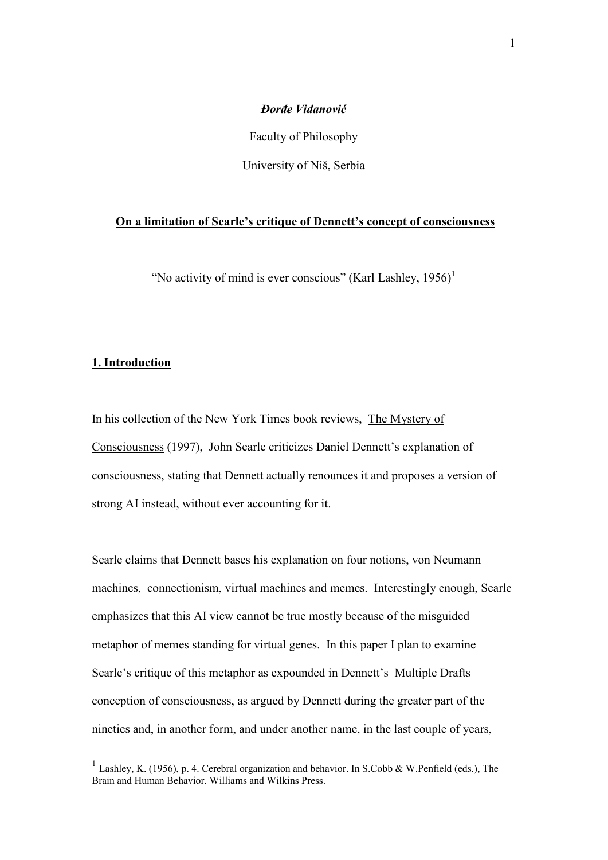## *ðorñe Vidanović*

Faculty of Philosophy

University of Niš, Serbia

# **On a limitation of Searle's critique of Dennett's concept of consciousness**

"No activity of mind is ever conscious" (Karl Lashley,  $1956$ )<sup>1</sup>

# **1. Introduction**

-

In his collection of the New York Times book reviews, The Mystery of Consciousness (1997), John Searle criticizes Daniel Dennett's explanation of consciousness, stating that Dennett actually renounces it and proposes a version of strong AI instead, without ever accounting for it.

Searle claims that Dennett bases his explanation on four notions, von Neumann machines, connectionism, virtual machines and memes. Interestingly enough, Searle emphasizes that this AI view cannot be true mostly because of the misguided metaphor of memes standing for virtual genes. In this paper I plan to examine Searle's critique of this metaphor as expounded in Dennett's Multiple Drafts conception of consciousness, as argued by Dennett during the greater part of the nineties and, in another form, and under another name, in the last couple of years,

<sup>&</sup>lt;sup>1</sup> Lashley, K. (1956), p. 4. Cerebral organization and behavior. In S.Cobb & W.Penfield (eds.), The Brain and Human Behavior. Williams and Wilkins Press.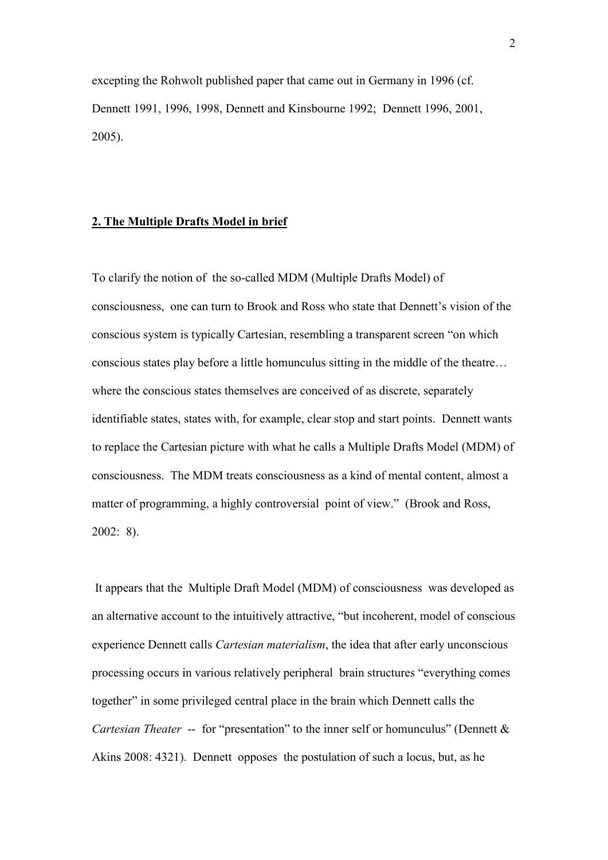excepting the Rohwolt published paper that came out in Germany in 1996 (cf. Dennett 1991, 1996, 1998, Dennett and Kinsbourne 1992; Dennett 1996, 2001, 2005).

## **2. The Multiple Drafts Model in brief**

To clarify the notion of the so-called MDM (Multiple Drafts Model) of consciousness, one can turn to Brook and Ross who state that Dennett's vision of the conscious system is typically Cartesian, resembling a transparent screen "on which conscious states play before a little homunculus sitting in the middle of the theatre… where the conscious states themselves are conceived of as discrete, separately identifiable states, states with, for example, clear stop and start points. Dennett wants to replace the Cartesian picture with what he calls a Multiple Drafts Model (MDM) of consciousness. The MDM treats consciousness as a kind of mental content, almost a matter of programming, a highly controversial point of view." (Brook and Ross, 2002: 8).

 It appears that the Multiple Draft Model (MDM) of consciousness was developed as an alternative account to the intuitively attractive, "but incoherent, model of conscious experience Dennett calls *Cartesian materialism*, the idea that after early unconscious processing occurs in various relatively peripheral brain structures "everything comes together" in some privileged central place in the brain which Dennett calls the *Cartesian Theater --* for "presentation" to the inner self or homunculus" (Dennett & Akins 2008: 4321). Dennett opposes the postulation of such a locus, but, as he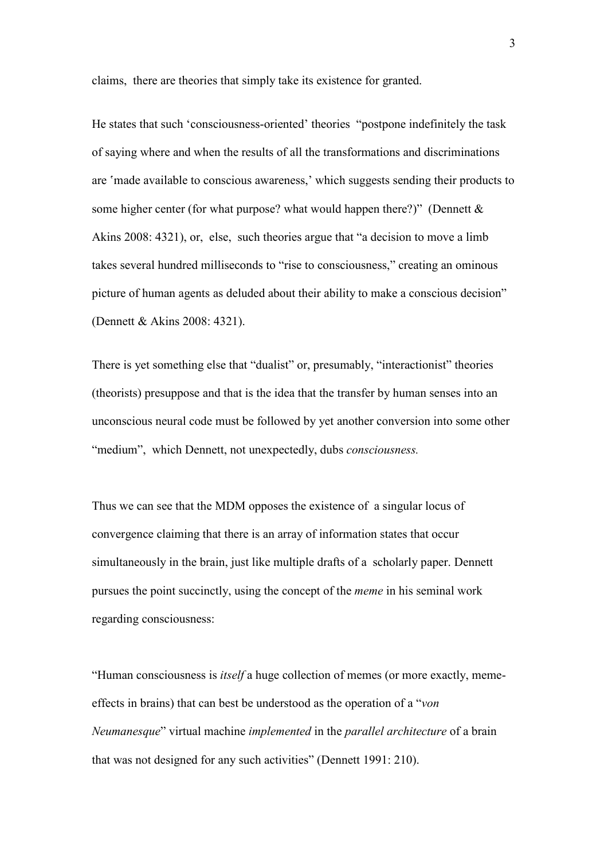claims, there are theories that simply take its existence for granted.

He states that such 'consciousness-oriented' theories "postpone indefinitely the task of saying where and when the results of all the transformations and discriminations are 'made available to conscious awareness,' which suggests sending their products to some higher center (for what purpose? what would happen there?)" (Dennett  $\&$ Akins 2008: 4321), or, else, such theories argue that "a decision to move a limb takes several hundred milliseconds to "rise to consciousness," creating an ominous picture of human agents as deluded about their ability to make a conscious decision" (Dennett & Akins 2008: 4321).

There is yet something else that "dualist" or, presumably, "interactionist" theories (theorists) presuppose and that is the idea that the transfer by human senses into an unconscious neural code must be followed by yet another conversion into some other "medium", which Dennett, not unexpectedly, dubs *consciousness.*

Thus we can see that the MDM opposes the existence of a singular locus of convergence claiming that there is an array of information states that occur simultaneously in the brain, just like multiple drafts of a scholarly paper. Dennett pursues the point succinctly, using the concept of the *meme* in his seminal work regarding consciousness:

"Human consciousness is *itself* a huge collection of memes (or more exactly, memeeffects in brains) that can best be understood as the operation of a "*von Neumanesque*" virtual machine *implemented* in the *parallel architecture* of a brain that was not designed for any such activities" (Dennett 1991: 210).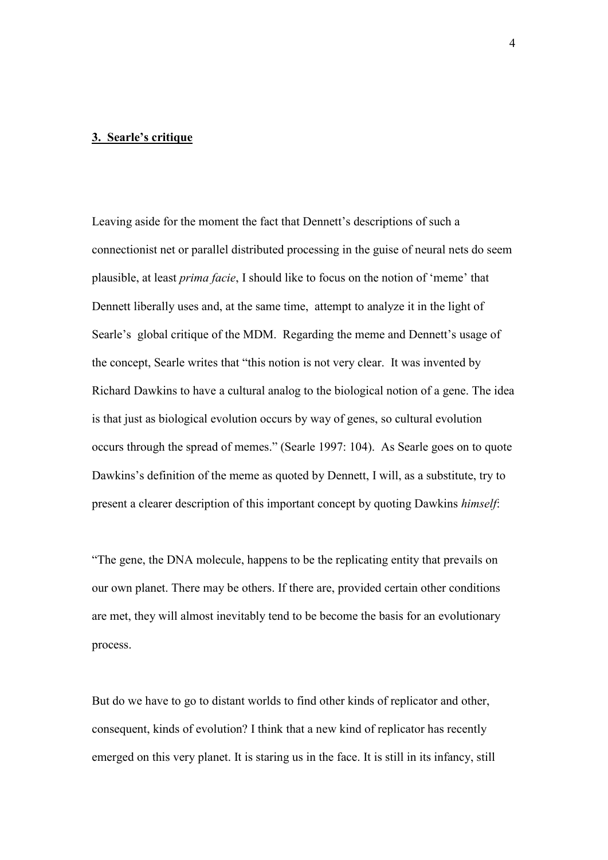#### **3. Searle's critique**

Leaving aside for the moment the fact that Dennett's descriptions of such a connectionist net or parallel distributed processing in the guise of neural nets do seem plausible, at least *prima facie*, I should like to focus on the notion of 'meme' that Dennett liberally uses and, at the same time, attempt to analyze it in the light of Searle's global critique of the MDM. Regarding the meme and Dennett's usage of the concept, Searle writes that "this notion is not very clear. It was invented by Richard Dawkins to have a cultural analog to the biological notion of a gene. The idea is that just as biological evolution occurs by way of genes, so cultural evolution occurs through the spread of memes." (Searle 1997: 104). As Searle goes on to quote Dawkins's definition of the meme as quoted by Dennett, I will, as a substitute, try to present a clearer description of this important concept by quoting Dawkins *himself*:

"The gene, the DNA molecule, happens to be the replicating entity that prevails on our own planet. There may be others. If there are, provided certain other conditions are met, they will almost inevitably tend to be become the basis for an evolutionary process.

But do we have to go to distant worlds to find other kinds of replicator and other, consequent, kinds of evolution? I think that a new kind of replicator has recently emerged on this very planet. It is staring us in the face. It is still in its infancy, still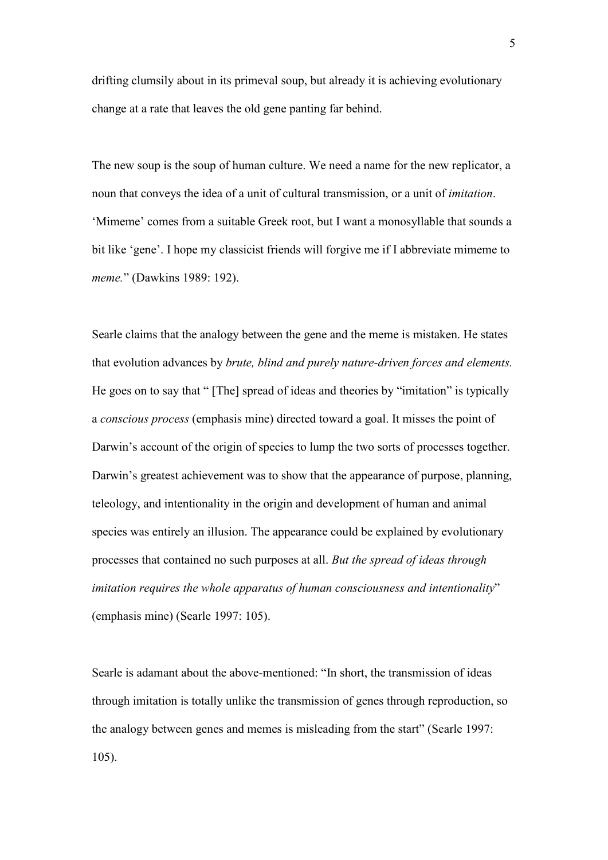drifting clumsily about in its primeval soup, but already it is achieving evolutionary change at a rate that leaves the old gene panting far behind.

The new soup is the soup of human culture. We need a name for the new replicator, a noun that conveys the idea of a unit of cultural transmission, or a unit of *imitation*. 'Mimeme' comes from a suitable Greek root, but I want a monosyllable that sounds a bit like 'gene'. I hope my classicist friends will forgive me if I abbreviate mimeme to *meme.*" (Dawkins 1989: 192).

Searle claims that the analogy between the gene and the meme is mistaken. He states that evolution advances by *brute, blind and purely nature-driven forces and elements.* He goes on to say that " [The] spread of ideas and theories by "imitation" is typically a *conscious process* (emphasis mine) directed toward a goal. It misses the point of Darwin's account of the origin of species to lump the two sorts of processes together. Darwin's greatest achievement was to show that the appearance of purpose, planning, teleology, and intentionality in the origin and development of human and animal species was entirely an illusion. The appearance could be explained by evolutionary processes that contained no such purposes at all. *But the spread of ideas through imitation requires the whole apparatus of human consciousness and intentionality*" (emphasis mine) (Searle 1997: 105).

Searle is adamant about the above-mentioned: "In short, the transmission of ideas through imitation is totally unlike the transmission of genes through reproduction, so the analogy between genes and memes is misleading from the start" (Searle 1997: 105).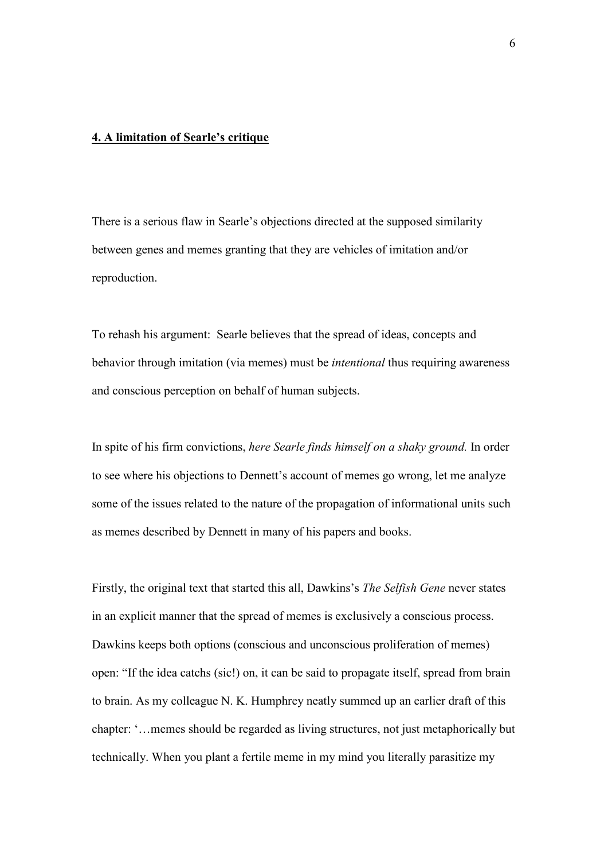### **4. A limitation of Searle's critique**

There is a serious flaw in Searle's objections directed at the supposed similarity between genes and memes granting that they are vehicles of imitation and/or reproduction.

To rehash his argument: Searle believes that the spread of ideas, concepts and behavior through imitation (via memes) must be *intentional* thus requiring awareness and conscious perception on behalf of human subjects.

In spite of his firm convictions, *here Searle finds himself on a shaky ground.* In order to see where his objections to Dennett's account of memes go wrong, let me analyze some of the issues related to the nature of the propagation of informational units such as memes described by Dennett in many of his papers and books.

Firstly, the original text that started this all, Dawkins's *The Selfish Gene* never states in an explicit manner that the spread of memes is exclusively a conscious process. Dawkins keeps both options (conscious and unconscious proliferation of memes) open: "If the idea catchs (sic!) on, it can be said to propagate itself, spread from brain to brain. As my colleague N. K. Humphrey neatly summed up an earlier draft of this chapter: '…memes should be regarded as living structures, not just metaphorically but technically. When you plant a fertile meme in my mind you literally parasitize my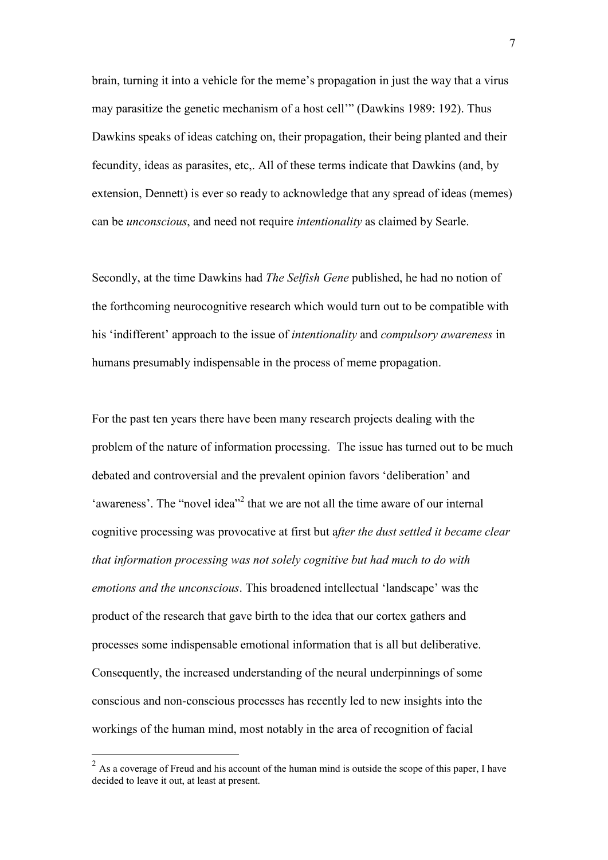brain, turning it into a vehicle for the meme's propagation in just the way that a virus may parasitize the genetic mechanism of a host cell'" (Dawkins 1989: 192). Thus Dawkins speaks of ideas catching on, their propagation, their being planted and their fecundity, ideas as parasites, etc,. All of these terms indicate that Dawkins (and, by extension, Dennett) is ever so ready to acknowledge that any spread of ideas (memes) can be *unconscious*, and need not require *intentionality* as claimed by Searle.

Secondly, at the time Dawkins had *The Selfish Gene* published, he had no notion of the forthcoming neurocognitive research which would turn out to be compatible with his 'indifferent' approach to the issue of *intentionality* and *compulsory awareness* in humans presumably indispensable in the process of meme propagation.

For the past ten years there have been many research projects dealing with the problem of the nature of information processing. The issue has turned out to be much debated and controversial and the prevalent opinion favors 'deliberation' and 'awareness'. The "novel idea"<sup>2</sup> that we are not all the time aware of our internal cognitive processing was provocative at first but a*fter the dust settled it became clear that information processing was not solely cognitive but had much to do with emotions and the unconscious*. This broadened intellectual 'landscape' was the product of the research that gave birth to the idea that our cortex gathers and processes some indispensable emotional information that is all but deliberative. Consequently, the increased understanding of the neural underpinnings of some conscious and non-conscious processes has recently led to new insights into the workings of the human mind, most notably in the area of recognition of facial

 $\frac{1}{2}$  As a coverage of Freud and his account of the human mind is outside the scope of this paper, I have decided to leave it out, at least at present.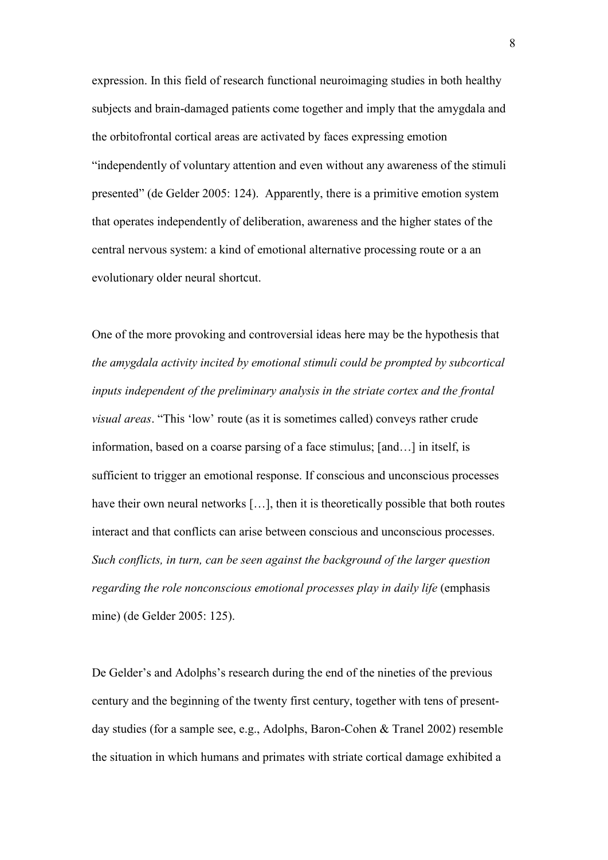expression. In this field of research functional neuroimaging studies in both healthy subjects and brain-damaged patients come together and imply that the amygdala and the orbitofrontal cortical areas are activated by faces expressing emotion "independently of voluntary attention and even without any awareness of the stimuli presented" (de Gelder 2005: 124). Apparently, there is a primitive emotion system that operates independently of deliberation, awareness and the higher states of the central nervous system: a kind of emotional alternative processing route or a an evolutionary older neural shortcut.

One of the more provoking and controversial ideas here may be the hypothesis that *the amygdala activity incited by emotional stimuli could be prompted by subcortical inputs independent of the preliminary analysis in the striate cortex and the frontal visual areas*. "This 'low' route (as it is sometimes called) conveys rather crude information, based on a coarse parsing of a face stimulus; [and…] in itself, is sufficient to trigger an emotional response. If conscious and unconscious processes have their own neural networks [...], then it is theoretically possible that both routes interact and that conflicts can arise between conscious and unconscious processes. *Such conflicts, in turn, can be seen against the background of the larger question regarding the role nonconscious emotional processes play in daily life* (emphasis mine) (de Gelder 2005: 125).

De Gelder's and Adolphs's research during the end of the nineties of the previous century and the beginning of the twenty first century, together with tens of presentday studies (for a sample see, e.g., Adolphs, Baron-Cohen & Tranel 2002) resemble the situation in which humans and primates with striate cortical damage exhibited a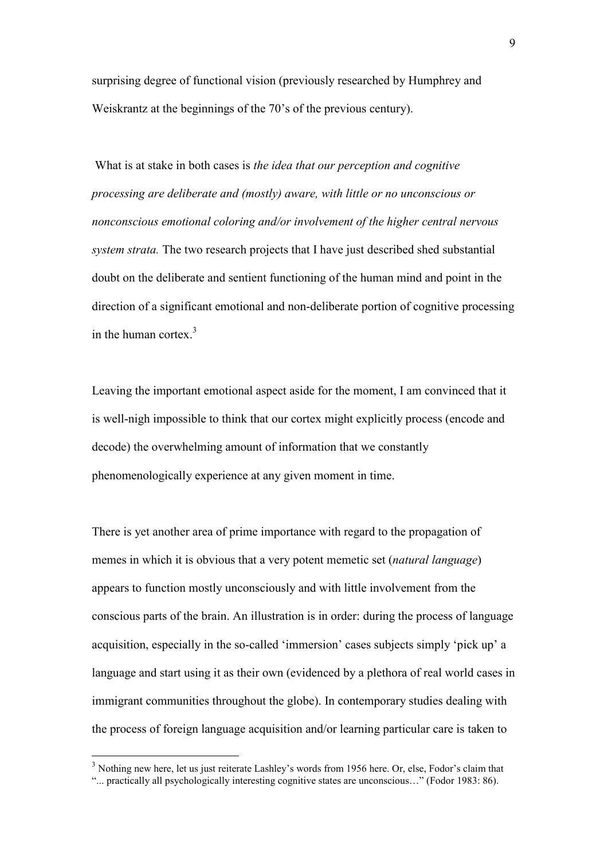surprising degree of functional vision (previously researched by Humphrey and Weiskrantz at the beginnings of the 70's of the previous century).

 What is at stake in both cases is *the idea that our perception and cognitive processing are deliberate and (mostly) aware, with little or no unconscious or nonconscious emotional coloring and/or involvement of the higher central nervous system strata.* The two research projects that I have just described shed substantial doubt on the deliberate and sentient functioning of the human mind and point in the direction of a significant emotional and non-deliberate portion of cognitive processing in the human cortex. $3$ 

Leaving the important emotional aspect aside for the moment, I am convinced that it is well-nigh impossible to think that our cortex might explicitly process (encode and decode) the overwhelming amount of information that we constantly phenomenologically experience at any given moment in time.

There is yet another area of prime importance with regard to the propagation of memes in which it is obvious that a very potent memetic set (*natural language*) appears to function mostly unconsciously and with little involvement from the conscious parts of the brain. An illustration is in order: during the process of language acquisition, especially in the so-called 'immersion' cases subjects simply 'pick up' a language and start using it as their own (evidenced by a plethora of real world cases in immigrant communities throughout the globe). In contemporary studies dealing with the process of foreign language acquisition and/or learning particular care is taken to

-

<sup>&</sup>lt;sup>3</sup> Nothing new here, let us just reiterate Lashley's words from 1956 here. Or, else, Fodor's claim that

<sup>&</sup>quot;... practically all psychologically interesting cognitive states are unconscious…" (Fodor 1983: 86).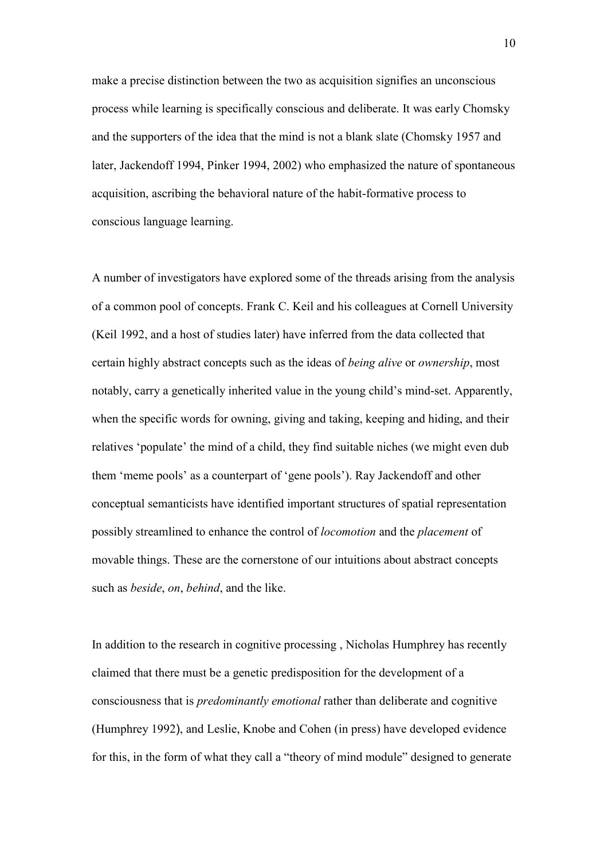make a precise distinction between the two as acquisition signifies an unconscious process while learning is specifically conscious and deliberate. It was early Chomsky and the supporters of the idea that the mind is not a blank slate (Chomsky 1957 and later, Jackendoff 1994, Pinker 1994, 2002) who emphasized the nature of spontaneous acquisition, ascribing the behavioral nature of the habit-formative process to conscious language learning.

A number of investigators have explored some of the threads arising from the analysis of a common pool of concepts. Frank C. Keil and his colleagues at Cornell University (Keil 1992, and a host of studies later) have inferred from the data collected that certain highly abstract concepts such as the ideas of *being alive* or *ownership*, most notably, carry a genetically inherited value in the young child's mind-set. Apparently, when the specific words for owning, giving and taking, keeping and hiding, and their relatives 'populate' the mind of a child, they find suitable niches (we might even dub them 'meme pools' as a counterpart of 'gene pools'). Ray Jackendoff and other conceptual semanticists have identified important structures of spatial representation possibly streamlined to enhance the control of *locomotion* and the *placement* of movable things. These are the cornerstone of our intuitions about abstract concepts such as *beside*, *on*, *behind*, and the like.

In addition to the research in cognitive processing , Nicholas Humphrey has recently claimed that there must be a genetic predisposition for the development of a consciousness that is *predominantly emotional* rather than deliberate and cognitive (Humphrey 1992), and Leslie, Knobe and Cohen (in press) have developed evidence for this, in the form of what they call a "theory of mind module" designed to generate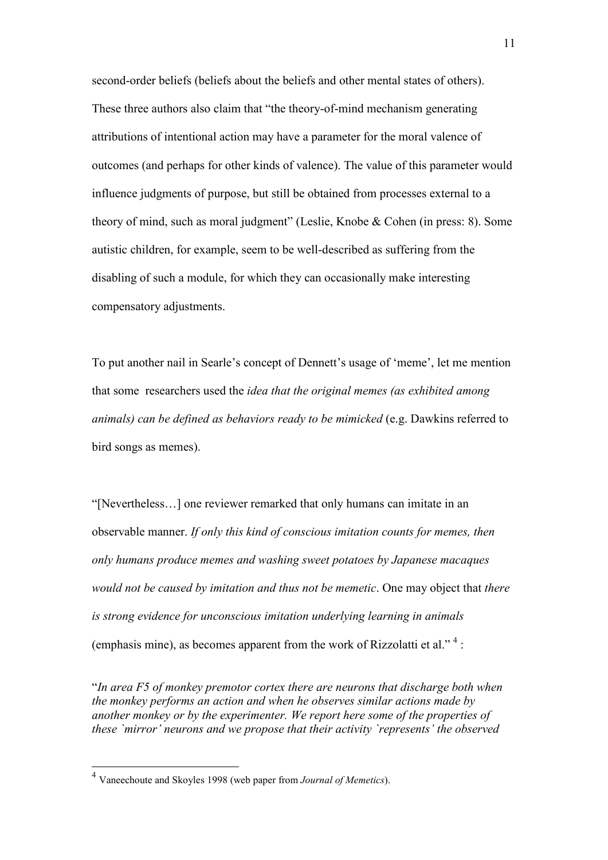second-order beliefs (beliefs about the beliefs and other mental states of others). These three authors also claim that "the theory-of-mind mechanism generating attributions of intentional action may have a parameter for the moral valence of outcomes (and perhaps for other kinds of valence). The value of this parameter would influence judgments of purpose, but still be obtained from processes external to a theory of mind, such as moral judgment" (Leslie, Knobe & Cohen (in press: 8). Some autistic children, for example, seem to be well-described as suffering from the disabling of such a module, for which they can occasionally make interesting compensatory adjustments.

To put another nail in Searle's concept of Dennett's usage of 'meme', let me mention that some researchers used the *idea that the original memes (as exhibited among animals) can be defined as behaviors ready to be mimicked* (e.g. Dawkins referred to bird songs as memes).

"[Nevertheless…] one reviewer remarked that only humans can imitate in an observable manner. *If only this kind of conscious imitation counts for memes, then only humans produce memes and washing sweet potatoes by Japanese macaques would not be caused by imitation and thus not be memetic*. One may object that *there is strong evidence for unconscious imitation underlying learning in animals*  (emphasis mine), as becomes apparent from the work of Rizzolatti et al." $4$ :

"*In area F5 of monkey premotor cortex there are neurons that discharge both when the monkey performs an action and when he observes similar actions made by another monkey or by the experimenter. We report here some of the properties of these `mirror' neurons and we propose that their activity `represents' the observed* 

-

<sup>4</sup> Vaneechoute and Skoyles 1998 (web paper from *Journal of Memetics*).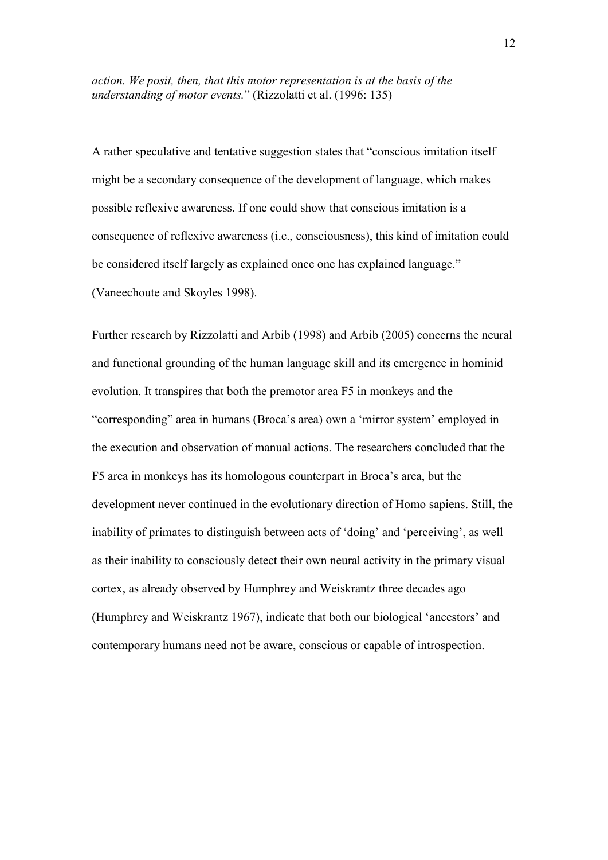*action. We posit, then, that this motor representation is at the basis of the understanding of motor events.*" (Rizzolatti et al. (1996: 135)

A rather speculative and tentative suggestion states that "conscious imitation itself might be a secondary consequence of the development of language, which makes possible reflexive awareness. If one could show that conscious imitation is a consequence of reflexive awareness (i.e., consciousness), this kind of imitation could be considered itself largely as explained once one has explained language." (Vaneechoute and Skoyles 1998).

Further research by Rizzolatti and Arbib (1998) and Arbib (2005) concerns the neural and functional grounding of the human language skill and its emergence in hominid evolution. It transpires that both the premotor area F5 in monkeys and the "corresponding" area in humans (Broca's area) own a 'mirror system' employed in the execution and observation of manual actions. The researchers concluded that the F5 area in monkeys has its homologous counterpart in Broca's area, but the development never continued in the evolutionary direction of Homo sapiens. Still, the inability of primates to distinguish between acts of 'doing' and 'perceiving', as well as their inability to consciously detect their own neural activity in the primary visual cortex, as already observed by Humphrey and Weiskrantz three decades ago (Humphrey and Weiskrantz 1967), indicate that both our biological 'ancestors' and contemporary humans need not be aware, conscious or capable of introspection.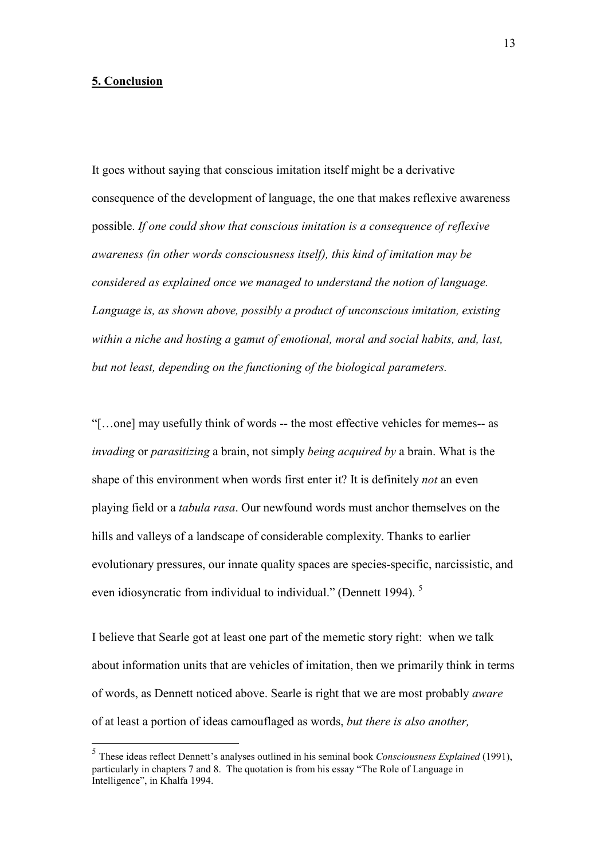## **5. Conclusion**

<u>.</u>

It goes without saying that conscious imitation itself might be a derivative consequence of the development of language, the one that makes reflexive awareness possible. *If one could show that conscious imitation is a consequence of reflexive awareness (in other words consciousness itself), this kind of imitation may be considered as explained once we managed to understand the notion of language. Language is, as shown above, possibly a product of unconscious imitation, existing within a niche and hosting a gamut of emotional, moral and social habits, and, last, but not least, depending on the functioning of the biological parameters.*

"[…one] may usefully think of words -- the most effective vehicles for memes-- as *invading* or *parasitizing* a brain, not simply *being acquired by* a brain. What is the shape of this environment when words first enter it? It is definitely *not* an even playing field or a *tabula rasa*. Our newfound words must anchor themselves on the hills and valleys of a landscape of considerable complexity. Thanks to earlier evolutionary pressures, our innate quality spaces are species-specific, narcissistic, and even idiosyncratic from individual to individual." (Dennett 1994). <sup>5</sup>

I believe that Searle got at least one part of the memetic story right: when we talk about information units that are vehicles of imitation, then we primarily think in terms of words, as Dennett noticed above. Searle is right that we are most probably *aware*  of at least a portion of ideas camouflaged as words, *but there is also another,* 

<sup>5</sup> These ideas reflect Dennett's analyses outlined in his seminal book *Consciousness Explained* (1991), particularly in chapters 7 and 8. The quotation is from his essay "The Role of Language in Intelligence", in Khalfa 1994.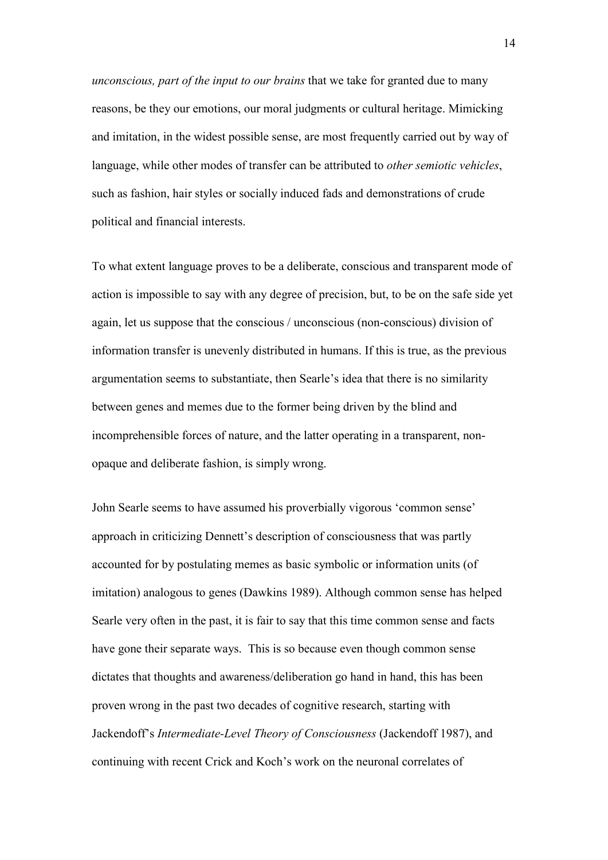*unconscious, part of the input to our brains* that we take for granted due to many reasons, be they our emotions, our moral judgments or cultural heritage. Mimicking and imitation, in the widest possible sense, are most frequently carried out by way of language, while other modes of transfer can be attributed to *other semiotic vehicles*, such as fashion, hair styles or socially induced fads and demonstrations of crude political and financial interests.

To what extent language proves to be a deliberate, conscious and transparent mode of action is impossible to say with any degree of precision, but, to be on the safe side yet again, let us suppose that the conscious / unconscious (non-conscious) division of information transfer is unevenly distributed in humans. If this is true, as the previous argumentation seems to substantiate, then Searle's idea that there is no similarity between genes and memes due to the former being driven by the blind and incomprehensible forces of nature, and the latter operating in a transparent, nonopaque and deliberate fashion, is simply wrong.

John Searle seems to have assumed his proverbially vigorous 'common sense' approach in criticizing Dennett's description of consciousness that was partly accounted for by postulating memes as basic symbolic or information units (of imitation) analogous to genes (Dawkins 1989). Although common sense has helped Searle very often in the past, it is fair to say that this time common sense and facts have gone their separate ways. This is so because even though common sense dictates that thoughts and awareness/deliberation go hand in hand, this has been proven wrong in the past two decades of cognitive research, starting with Jackendoff's *Intermediate-Level Theory of Consciousness* (Jackendoff 1987), and continuing with recent Crick and Koch's work on the neuronal correlates of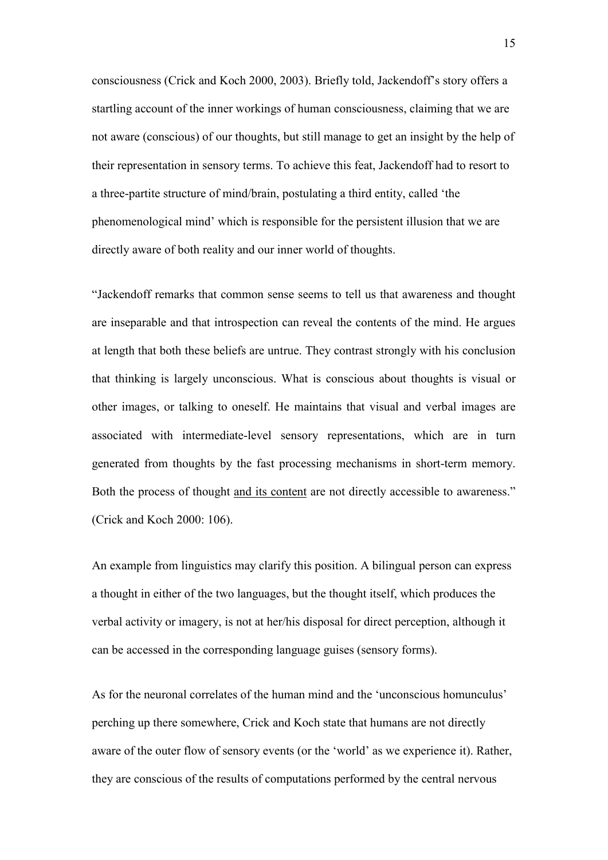consciousness (Crick and Koch 2000, 2003). Briefly told, Jackendoff's story offers a startling account of the inner workings of human consciousness, claiming that we are not aware (conscious) of our thoughts, but still manage to get an insight by the help of their representation in sensory terms. To achieve this feat, Jackendoff had to resort to a three-partite structure of mind/brain, postulating a third entity, called 'the phenomenological mind' which is responsible for the persistent illusion that we are directly aware of both reality and our inner world of thoughts.

"Jackendoff remarks that common sense seems to tell us that awareness and thought are inseparable and that introspection can reveal the contents of the mind. He argues at length that both these beliefs are untrue. They contrast strongly with his conclusion that thinking is largely unconscious. What is conscious about thoughts is visual or other images, or talking to oneself. He maintains that visual and verbal images are associated with intermediate-level sensory representations, which are in turn generated from thoughts by the fast processing mechanisms in short-term memory. Both the process of thought and its content are not directly accessible to awareness." (Crick and Koch 2000: 106).

An example from linguistics may clarify this position. A bilingual person can express a thought in either of the two languages, but the thought itself, which produces the verbal activity or imagery, is not at her/his disposal for direct perception, although it can be accessed in the corresponding language guises (sensory forms).

As for the neuronal correlates of the human mind and the 'unconscious homunculus' perching up there somewhere, Crick and Koch state that humans are not directly aware of the outer flow of sensory events (or the 'world' as we experience it). Rather, they are conscious of the results of computations performed by the central nervous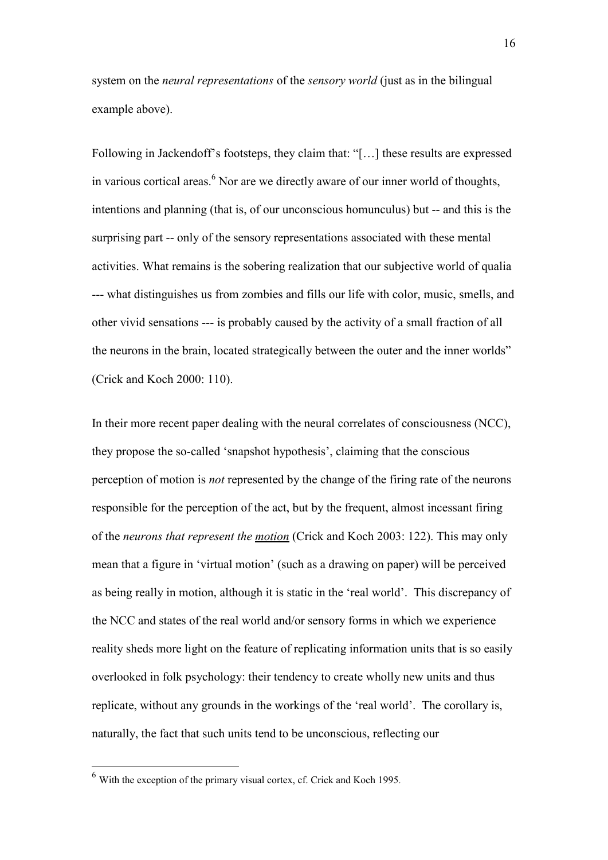system on the *neural representations* of the *sensory world* (just as in the bilingual example above).

Following in Jackendoff's footsteps, they claim that: "[…] these results are expressed in various cortical areas.<sup>6</sup> Nor are we directly aware of our inner world of thoughts, intentions and planning (that is, of our unconscious homunculus) but -- and this is the surprising part -- only of the sensory representations associated with these mental activities. What remains is the sobering realization that our subjective world of qualia --- what distinguishes us from zombies and fills our life with color, music, smells, and other vivid sensations --- is probably caused by the activity of a small fraction of all the neurons in the brain, located strategically between the outer and the inner worlds" (Crick and Koch 2000: 110).

In their more recent paper dealing with the neural correlates of consciousness (NCC), they propose the so-called 'snapshot hypothesis', claiming that the conscious perception of motion is *not* represented by the change of the firing rate of the neurons responsible for the perception of the act, but by the frequent, almost incessant firing of the *neurons that represent the motion* (Crick and Koch 2003: 122). This may only mean that a figure in 'virtual motion' (such as a drawing on paper) will be perceived as being really in motion, although it is static in the 'real world'. This discrepancy of the NCC and states of the real world and/or sensory forms in which we experience reality sheds more light on the feature of replicating information units that is so easily overlooked in folk psychology: their tendency to create wholly new units and thus replicate, without any grounds in the workings of the 'real world'. The corollary is, naturally, the fact that such units tend to be unconscious, reflecting our

-

 $6$  With the exception of the primary visual cortex, cf. Crick and Koch 1995.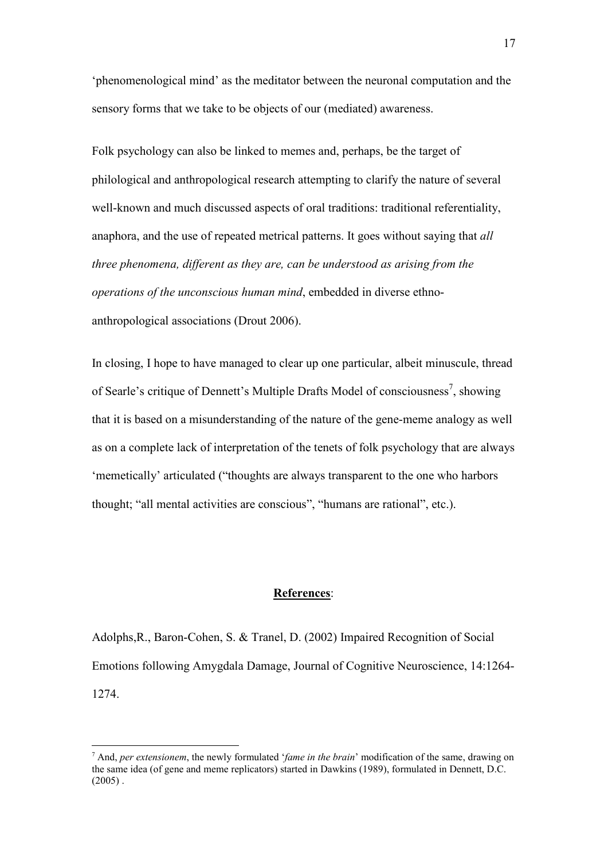'phenomenological mind' as the meditator between the neuronal computation and the sensory forms that we take to be objects of our (mediated) awareness.

Folk psychology can also be linked to memes and, perhaps, be the target of philological and anthropological research attempting to clarify the nature of several well-known and much discussed aspects of oral traditions: traditional referentiality, anaphora, and the use of repeated metrical patterns. It goes without saying that *all three phenomena, different as they are, can be understood as arising from the operations of the unconscious human mind*, embedded in diverse ethnoanthropological associations (Drout 2006).

In closing, I hope to have managed to clear up one particular, albeit minuscule, thread of Searle's critique of Dennett's Multiple Drafts Model of consciousness<sup>7</sup>, showing that it is based on a misunderstanding of the nature of the gene-meme analogy as well as on a complete lack of interpretation of the tenets of folk psychology that are always 'memetically' articulated ("thoughts are always transparent to the one who harbors thought; "all mental activities are conscious", "humans are rational", etc.).

## **References**:

Adolphs,R., Baron-Cohen, S. & Tranel, D. (2002) Impaired Recognition of Social Emotions following Amygdala Damage, Journal of Cognitive Neuroscience, 14:1264- 1274.

<u>.</u>

<sup>7</sup> And, *per extensionem*, the newly formulated '*fame in the brain*' modification of the same, drawing on the same idea (of gene and meme replicators) started in Dawkins (1989), formulated in Dennett, D.C.  $(2005)$ .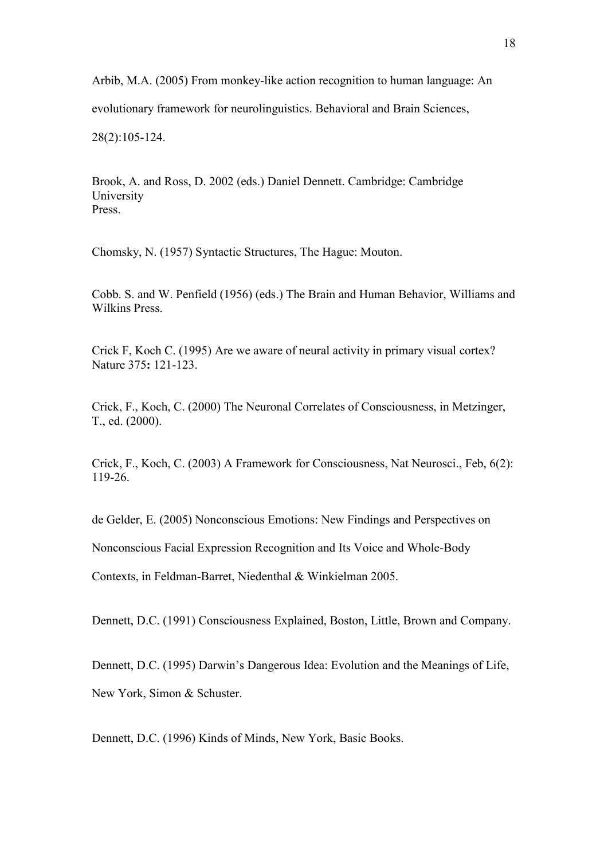Arbib, M.A. (2005) From monkey-like action recognition to human language: An

evolutionary framework for neurolinguistics. Behavioral and Brain Sciences,

28(2):105-124.

Brook, A. and Ross, D. 2002 (eds.) Daniel Dennett. Cambridge: Cambridge University Press.

Chomsky, N. (1957) Syntactic Structures, The Hague: Mouton.

Cobb. S. and W. Penfield (1956) (eds.) The Brain and Human Behavior, Williams and Wilkins Press.

Crick F, Koch C. (1995) Are we aware of neural activity in primary visual cortex? Nature 375**:** 121-123.

Crick, F., Koch, C. (2000) The Neuronal Correlates of Consciousness, in Metzinger, T., ed. (2000).

Crick, F., Koch, C. (2003) A Framework for Consciousness, Nat Neurosci., Feb, 6(2): 119-26.

de Gelder, E. (2005) Nonconscious Emotions: New Findings and Perspectives on

Nonconscious Facial Expression Recognition and Its Voice and Whole-Body

Contexts, in Feldman-Barret, Niedenthal & Winkielman 2005.

Dennett, D.C. (1991) Consciousness Explained, Boston, Little, Brown and Company.

Dennett, D.C. (1995) Darwin's Dangerous Idea: Evolution and the Meanings of Life, New York, Simon & Schuster.

Dennett, D.C. (1996) Kinds of Minds, New York, Basic Books.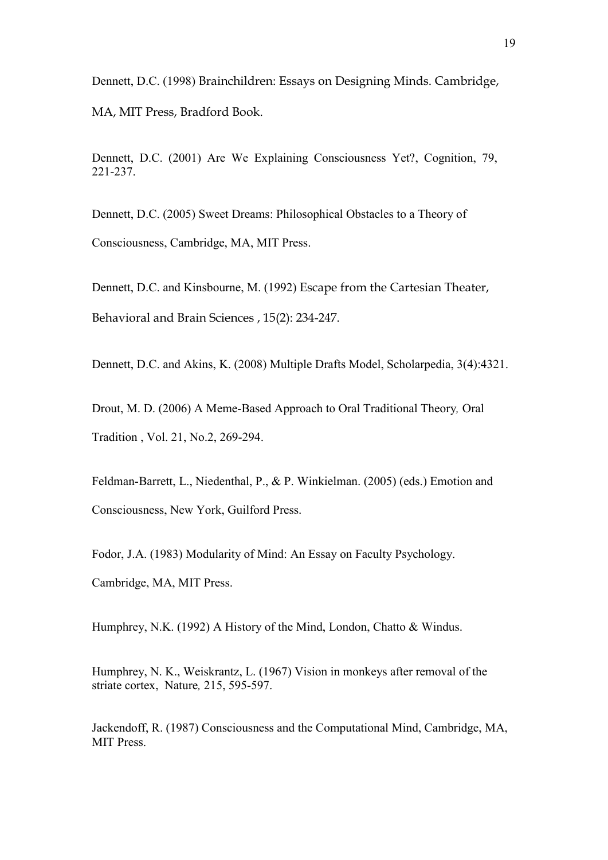Dennett, D.C. (1998) Brainchildren: Essays on Designing Minds. Cambridge,

MA, MIT Press, Bradford Book.

Dennett, D.C. (2001) Are We Explaining Consciousness Yet?, Cognition, 79, 221-237.

Dennett, D.C. (2005) Sweet Dreams: Philosophical Obstacles to a Theory of Consciousness, Cambridge, MA, MIT Press.

Dennett, D.C. and Kinsbourne, M. (1992) Escape from the Cartesian Theater, Behavioral and Brain Sciences , 15(2): 234-247.

Dennett, D.C. and Akins, K. (2008) Multiple Drafts Model, Scholarpedia, 3(4):4321.

Drout, M. D. (2006) A Meme-Based Approach to Oral Traditional Theory*,* Oral Tradition , Vol. 21, No.2, 269-294.

Feldman-Barrett, L., Niedenthal, P., & P. Winkielman. (2005) (eds.) Emotion and Consciousness, New York, Guilford Press.

Fodor, J.A. (1983) Modularity of Mind: An Essay on Faculty Psychology. Cambridge, MA, MIT Press.

Humphrey, N.K. (1992) A History of the Mind, London, Chatto & Windus.

Humphrey, N. K., Weiskrantz, L. (1967) Vision in monkeys after removal of the striate cortex, Nature*,* 215, 595-597.

Jackendoff, R. (1987) Consciousness and the Computational Mind, Cambridge, MA, MIT Press.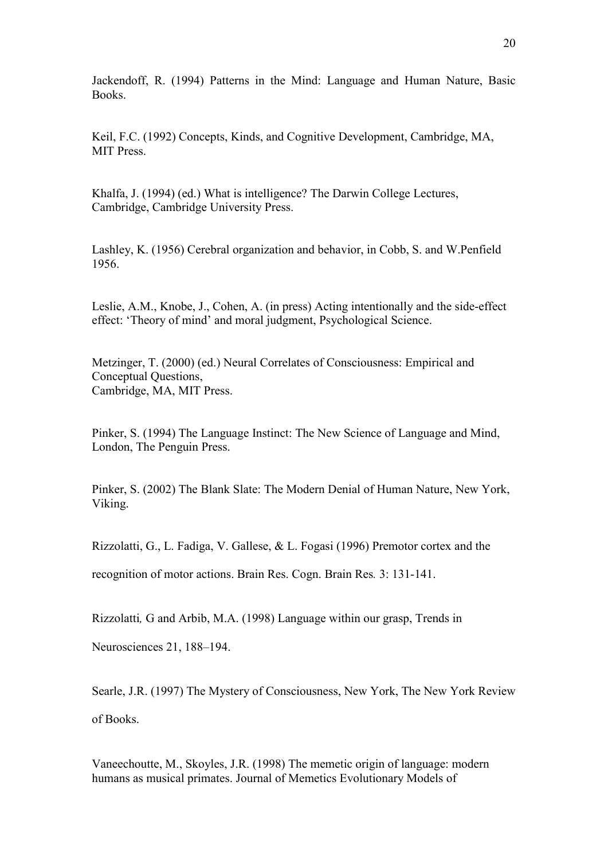Jackendoff, R. (1994) Patterns in the Mind: Language and Human Nature, Basic Books.

Keil, F.C. (1992) Concepts, Kinds, and Cognitive Development, Cambridge, MA, MIT Press.

Khalfa, J. (1994) (ed.) What is intelligence? The Darwin College Lectures, Cambridge, Cambridge University Press.

Lashley, K. (1956) Cerebral organization and behavior, in Cobb, S. and W.Penfield 1956.

Leslie, A.M., Knobe, J., Cohen, A. (in press) Acting intentionally and the side-effect effect: 'Theory of mind' and moral judgment, Psychological Science.

Metzinger, T. (2000) (ed.) Neural Correlates of Consciousness: Empirical and Conceptual Questions, Cambridge, MA, MIT Press.

Pinker, S. (1994) The Language Instinct: The New Science of Language and Mind, London, The Penguin Press.

Pinker, S. (2002) The Blank Slate: The Modern Denial of Human Nature, New York, Viking.

Rizzolatti, G., L. Fadiga, V. Gallese, & L. Fogasi (1996) Premotor cortex and the

recognition of motor actions. Brain Res. Cogn. Brain Res*.* 3: 131-141.

Rizzolatti*,* G and Arbib, M.A. (1998) Language within our grasp, Trends in

Neurosciences 21, 188–194.

Searle, J.R. (1997) The Mystery of Consciousness, New York, The New York Review of Books.

Vaneechoutte, M., Skoyles, J.R. (1998) The memetic origin of language: modern humans as musical primates. Journal of Memetics Evolutionary Models of